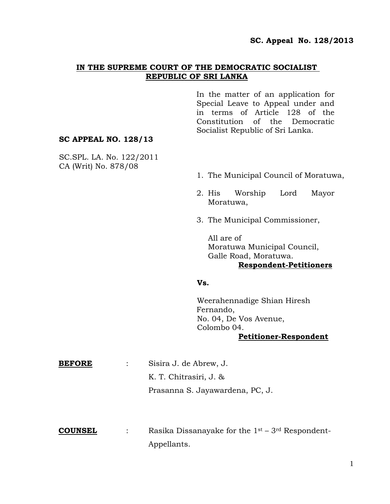## **IN THE SUPREME COURT OF THE DEMOCRATIC SOCIALIST REPUBLIC OF SRI LANKA**

In the matter of an application for Special Leave to Appeal under and in terms of Article 128 of the Constitution of the Democratic Socialist Republic of Sri Lanka.

#### **SC APPEAL NO. 128/13**

SC.SPL. LA. No. 122/2011 CA (Writ) No. 878/08

- 1. The Municipal Council of Moratuwa,
- 2. His Worship Lord Mayor Moratuwa,
- 3. The Municipal Commissioner,

All are of Moratuwa Municipal Council, Galle Road, Moratuwa. **Respondent-Petitioners**

#### **Vs.**

Weerahennadige Shian Hiresh Fernando, No. 04, De Vos Avenue, Colombo 04. **Petitioner-Respondent**

| <b>BEFORE</b> | Sisira J. de Abrew, J.          |
|---------------|---------------------------------|
|               | K. T. Chitrasiri, J. &          |
|               | Prasanna S. Jayawardena, PC, J. |
|               |                                 |
|               |                                 |

**COUNSEL** : Rasika Dissanayake for the 1st – 3rd Respondent-Appellants.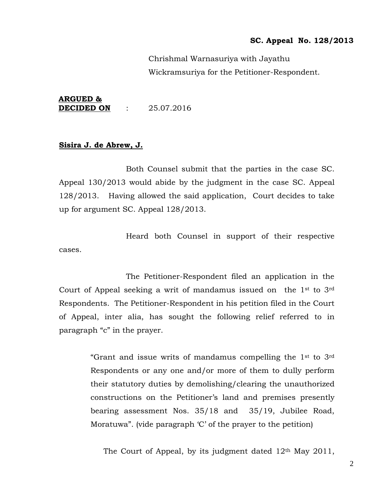Chrishmal Warnasuriya with Jayathu Wickramsuriya for the Petitioner-Respondent.

### **ARGUED & DECIDED ON** : 25.07.2016

#### **Sisira J. de Abrew, J.**

Both Counsel submit that the parties in the case SC. Appeal 130/2013 would abide by the judgment in the case SC. Appeal 128/2013. Having allowed the said application, Court decides to take up for argument SC. Appeal 128/2013.

Heard both Counsel in support of their respective cases.

The Petitioner-Respondent filed an application in the Court of Appeal seeking a writ of mandamus issued on the 1st to 3rd Respondents. The Petitioner-Respondent in his petition filed in the Court of Appeal, inter alia, has sought the following relief referred to in paragraph "c" in the prayer.

> "Grant and issue writs of mandamus compelling the 1st to 3rd Respondents or any one and/or more of them to dully perform their statutory duties by demolishing/clearing the unauthorized constructions on the Petitioner"s land and premises presently bearing assessment Nos. 35/18 and 35/19, Jubilee Road, Moratuwa". (vide paragraph 'C' of the prayer to the petition)

The Court of Appeal, by its judgment dated 12<sup>th</sup> May 2011,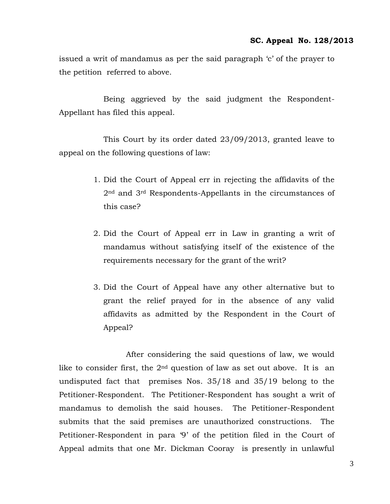issued a writ of mandamus as per the said paragraph "c" of the prayer to the petition referred to above.

Being aggrieved by the said judgment the Respondent-Appellant has filed this appeal.

This Court by its order dated 23/09/2013, granted leave to appeal on the following questions of law:

- 1. Did the Court of Appeal err in rejecting the affidavits of the 2nd and 3rd Respondents-Appellants in the circumstances of this case?
- 2. Did the Court of Appeal err in Law in granting a writ of mandamus without satisfying itself of the existence of the requirements necessary for the grant of the writ?
- 3. Did the Court of Appeal have any other alternative but to grant the relief prayed for in the absence of any valid affidavits as admitted by the Respondent in the Court of Appeal?

After considering the said questions of law, we would like to consider first, the  $2<sup>nd</sup>$  question of law as set out above. It is an undisputed fact that premises Nos. 35/18 and 35/19 belong to the Petitioner-Respondent. The Petitioner-Respondent has sought a writ of mandamus to demolish the said houses. The Petitioner-Respondent submits that the said premises are unauthorized constructions. The Petitioner-Respondent in para "9" of the petition filed in the Court of Appeal admits that one Mr. Dickman Cooray is presently in unlawful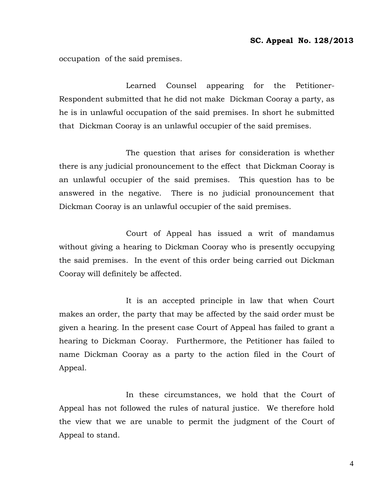occupation of the said premises.

Learned Counsel appearing for the Petitioner-Respondent submitted that he did not make Dickman Cooray a party, as he is in unlawful occupation of the said premises. In short he submitted that Dickman Cooray is an unlawful occupier of the said premises.

The question that arises for consideration is whether there is any judicial pronouncement to the effect that Dickman Cooray is an unlawful occupier of the said premises. This question has to be answered in the negative. There is no judicial pronouncement that Dickman Cooray is an unlawful occupier of the said premises.

Court of Appeal has issued a writ of mandamus without giving a hearing to Dickman Cooray who is presently occupying the said premises. In the event of this order being carried out Dickman Cooray will definitely be affected.

It is an accepted principle in law that when Court makes an order, the party that may be affected by the said order must be given a hearing. In the present case Court of Appeal has failed to grant a hearing to Dickman Cooray. Furthermore, the Petitioner has failed to name Dickman Cooray as a party to the action filed in the Court of Appeal.

In these circumstances, we hold that the Court of Appeal has not followed the rules of natural justice. We therefore hold the view that we are unable to permit the judgment of the Court of Appeal to stand.